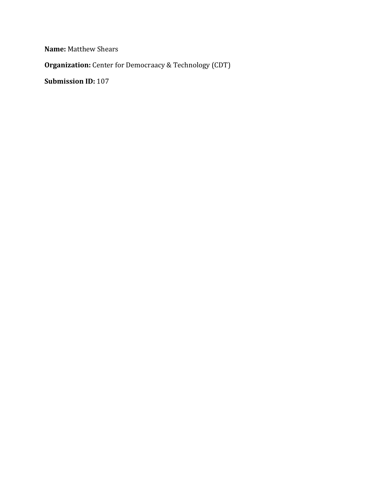**Name:** Matthew Shears

**Organization:** Center for Democraacy & Technology (CDT)

**Submission ID:** 107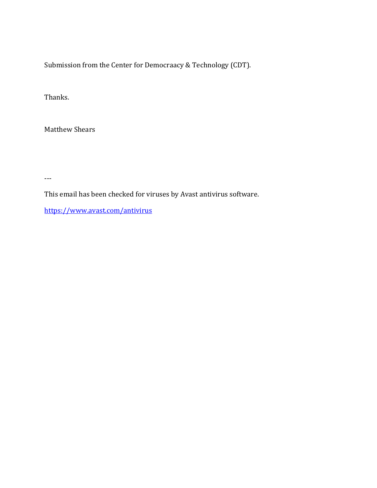Submission from the Center for Democraacy & Technology (CDT).

Thanks.

Matthew Shears

---

This email has been checked for viruses by Avast antivirus software.

https://www.avast.com/antivirus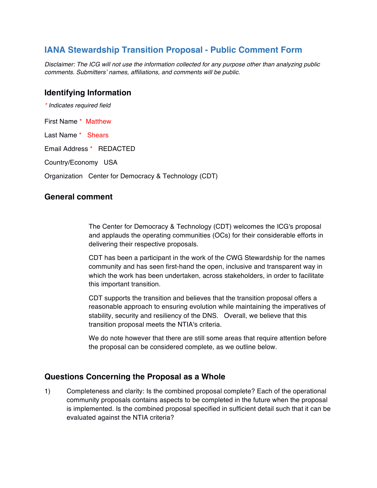# **IANA Stewardship Transition Proposal - Public Comment Form**

*Disclaimer: The ICG will not use the information collected for any purpose other than analyzing public comments. Submitters' names, affiliations, and comments will be public.*

### **Identifying Information**

*\* Indicates required field*

First Name \* Matthew

Last Name \* Shears

Email Address \* REDACTED

Country/Economy USA

Organization Center for Democracy & Technology (CDT)

### **General comment**

The Center for Democracy & Technology (CDT) welcomes the ICG's proposal and applauds the operating communities (OCs) for their considerable efforts in delivering their respective proposals.

CDT has been a participant in the work of the CWG Stewardship for the names community and has seen first-hand the open, inclusive and transparent way in which the work has been undertaken, across stakeholders, in order to facilitate this important transition.

CDT supports the transition and believes that the transition proposal offers a reasonable approach to ensuring evolution while maintaining the imperatives of stability, security and resiliency of the DNS. Overall, we believe that this transition proposal meets the NTIA's criteria.

We do note however that there are still some areas that require attention before the proposal can be considered complete, as we outline below.

### **Questions Concerning the Proposal as a Whole**

1) Completeness and clarity: Is the combined proposal complete? Each of the operational community proposals contains aspects to be completed in the future when the proposal is implemented. Is the combined proposal specified in sufficient detail such that it can be evaluated against the NTIA criteria?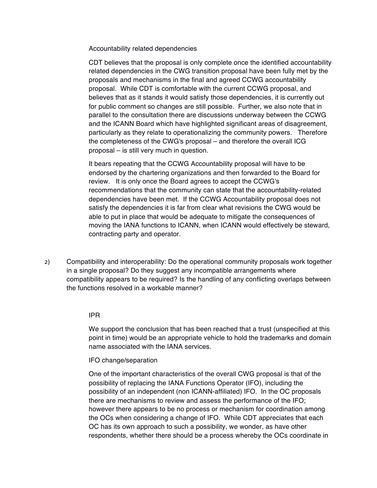Accountability related dependencies

CDT believes that the proposal is only complete once the identified accountability related dependencies in the CWG transition proposal have been fully met by the proposals and mechanisms in the final and agreed CCWG accountability proposal. While CDT is comfortable with the current CCWG proposal, and believes that as it stands it would satisfy those dependencies, it is currently out for public comment so changes are still possible. Further, we also note that in parallel to the consultation there are discussions underway between the CCWG and the ICANN Board which have highlighted significant areas of disagreement, particularly as they relate to operationalizing the community powers. Therefore the completeness of the CWG's proposal – and therefore the overall ICG proposal – is still very much in question.

It bears repeating that the CCWG Accountability proposal will have to be endorsed by the chartering organizations and then forwarded to the Board for review. It is only once the Board agrees to accept the CCWG's recommendations that the community can state that the accountability-related dependencies have been met. If the CCWG Accountability proposal does not satisfy the dependencies it is far from clear what revisions the CWG would be able to put in place that would be adequate to mitigate the consequences of moving the IANA functions to ICANN, when ICANN would effectively be steward, contracting party and operator.

2) Compatibility and interoperability: Do the operational community proposals work together in a single proposal? Do they suggest any incompatible arrangements where compatibility appears to be required? Is the handling of any conflicting overlaps between the functions resolved in a workable manner?

#### IPR

We support the conclusion that has been reached that a trust (unspecified at this point in time) would be an appropriate vehicle to hold the trademarks and domain name associated with the IANA services.

IFO change/separation

One of the important characteristics of the overall CWG proposal is that of the possibility of replacing the IANA Functions Operator (IFO), including the possibility of an independent (non ICANN-affiliated) IFO. In the OC proposals there are mechanisms to review and assess the performance of the IFO; however there appears to be no process or mechanism for coordination among the OCs when considering a change of IFO. While CDT appreciates that each OC has its own approach to such a possibility, we wonder, as have other respondents, whether there should be a process whereby the OCs coordinate in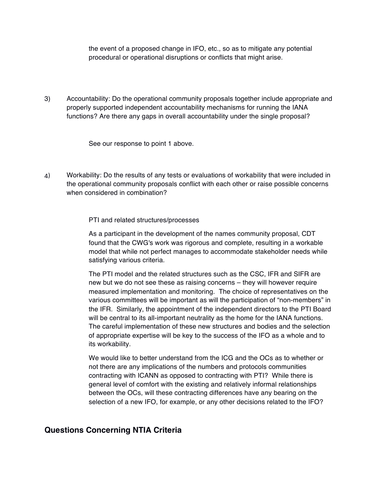the event of a proposed change in IFO, etc., so as to mitigate any potential procedural or operational disruptions or conflicts that might arise.

3) Accountability: Do the operational community proposals together include appropriate and properly supported independent accountability mechanisms for running the IANA functions? Are there any gaps in overall accountability under the single proposal?

See our response to point 1 above.

4) Workability: Do the results of any tests or evaluations of workability that were included in the operational community proposals conflict with each other or raise possible concerns when considered in combination?

PTI and related structures/processes

As a participant in the development of the names community proposal, CDT found that the CWG's work was rigorous and complete, resulting in a workable model that while not perfect manages to accommodate stakeholder needs while satisfying various criteria.

The PTI model and the related structures such as the CSC, IFR and SIFR are new but we do not see these as raising concerns – they will however require measured implementation and monitoring. The choice of representatives on the various committees will be important as will the participation of "non-members" in the IFR. Similarly, the appointment of the independent directors to the PTI Board will be central to its all-important neutrality as the home for the IANA functions. The careful implementation of these new structures and bodies and the selection of appropriate expertise will be key to the success of the IFO as a whole and to its workability.

We would like to better understand from the ICG and the OCs as to whether or not there are any implications of the numbers and protocols communities contracting with ICANN as opposed to contracting with PTI? While there is general level of comfort with the existing and relatively informal relationships between the OCs, will these contracting differences have any bearing on the selection of a new IFO, for example, or any other decisions related to the IFO?

### **Questions Concerning NTIA Criteria**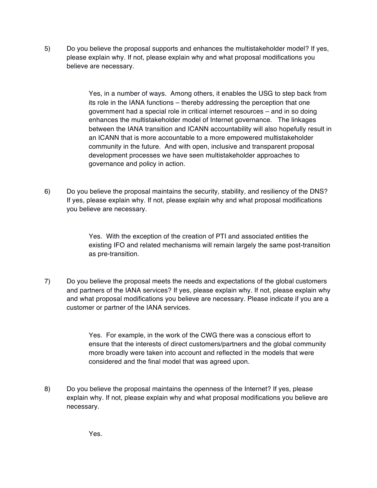5) Do you believe the proposal supports and enhances the multistakeholder model? If yes, please explain why. If not, please explain why and what proposal modifications you believe are necessary.

> Yes, in a number of ways. Among others, it enables the USG to step back from its role in the IANA functions – thereby addressing the perception that one government had a special role in critical internet resources – and in so doing enhances the multistakeholder model of Internet governance. The linkages between the IANA transition and ICANN accountability will also hopefully result in an ICANN that is more accountable to a more empowered multistakeholder community in the future. And with open, inclusive and transparent proposal development processes we have seen multistakeholder approaches to governance and policy in action.

6) Do you believe the proposal maintains the security, stability, and resiliency of the DNS? If yes, please explain why. If not, please explain why and what proposal modifications you believe are necessary.

> Yes. With the exception of the creation of PTI and associated entities the existing IFO and related mechanisms will remain largely the same post-transition as pre-transition.

7) Do you believe the proposal meets the needs and expectations of the global customers and partners of the IANA services? If yes, please explain why. If not, please explain why and what proposal modifications you believe are necessary. Please indicate if you are a customer or partner of the IANA services.

> Yes. For example, in the work of the CWG there was a conscious effort to ensure that the interests of direct customers/partners and the global community more broadly were taken into account and reflected in the models that were considered and the final model that was agreed upon.

8) Do you believe the proposal maintains the openness of the Internet? If yes, please explain why. If not, please explain why and what proposal modifications you believe are necessary.